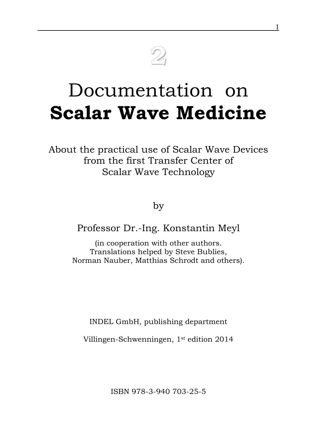# **2**

# Documentation on **Scalar Wave Medicine**

About the practical use of Scalar Wave Devices from the first Transfer Center of Scalar Wave Technology

by

Professor Dr.-Ing. Konstantin Meyl

(in cooperation with other authors. Translations helped by Steve Bublies, Norman Nauber, Matthias Schrodt and others).

INDEL GmbH, publishing department

Villingen-Schwenningen, 1st edition 2014

ISBN 978-3-940 703-25-5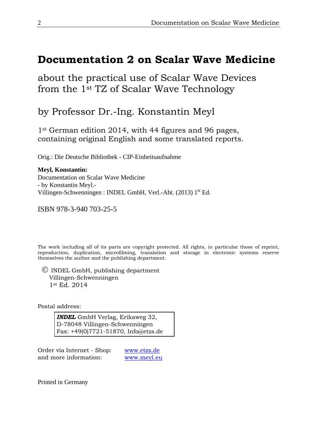## **Documentation 2 on Scalar Wave Medicine**

about the practical use of Scalar Wave Devices from the 1st TZ of Scalar Wave Technology

by Professor Dr.-Ing. Konstantin Meyl

1<sup>st</sup> German edition 2014, with 44 figures and 96 pages, containing original English and some translated reports.

Orig.: Die Deutsche Bibliothek - CIP-Einheitsaufnahme

**Meyl, Konstantin:** Documentation on Scalar Wave Medicine - by Konstantin Meyl.- Villingen-Schwenningen : INDEL GmbH, Verl.-Abt. (2013)  $1<sup>st</sup>$  Ed.

ISBN 978-3-940 703-25-5

The work including all of its parts are copyright protected. All rights, in particular those of reprint, reproduction, duplication, microfilming, translation and storage in electronic systems reserve themselves the author and the publishing department.

 $\circ$  INDEL GmbH, publishing department Villingen-Schwenningen 1st Ed. 2014

Postal address:

*INDEL* GmbH Verlag, Erikaweg 32, D-78048 Villingen-Schwenningen Fax: +49(0)7721-51870, Info@etzs.de

Order via Internet - Shop: [www.etzs.de](http://www.etzs.de/) and more information: [www.meyl.eu](http://www.meyl.eu/)

Printed in Germany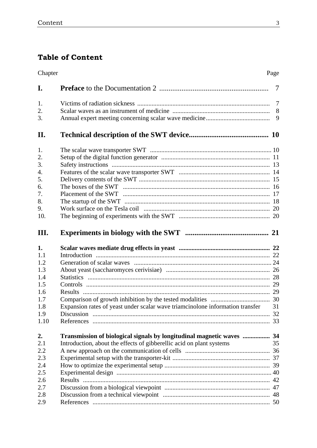### **Table of Content**

| Chapter<br>Page |                                                                                  |    |
|-----------------|----------------------------------------------------------------------------------|----|
| I.              |                                                                                  |    |
| 1.              |                                                                                  |    |
| 2.              |                                                                                  |    |
| 3.              |                                                                                  |    |
| II.             |                                                                                  |    |
| 1.              |                                                                                  |    |
| 2.              |                                                                                  |    |
| 3.              |                                                                                  |    |
| 4.              |                                                                                  |    |
| 5.              |                                                                                  |    |
| 6.              |                                                                                  |    |
| 7.              |                                                                                  |    |
| 8.              |                                                                                  |    |
| 9.              |                                                                                  |    |
| 10.             |                                                                                  |    |
| Ш.              |                                                                                  |    |
| 1.              |                                                                                  |    |
| 1.1             |                                                                                  |    |
| 1.2             |                                                                                  |    |
| 1.3             |                                                                                  |    |
| 1.4             |                                                                                  |    |
| 1.5             |                                                                                  |    |
| 1.6             |                                                                                  |    |
| 1.7             |                                                                                  |    |
| 1.8             | Expansion rates of yeast under scalar wave triamcinolone information transfer 31 |    |
| 1.9             |                                                                                  |    |
| 1.10            |                                                                                  |    |
| 2.              | Transmission of biological signals by longitudinal magnetic waves  34            |    |
| 2.1             | Introduction, about the effects of gibberellic acid on plant systems             | 35 |
| 2.2             |                                                                                  |    |
| 2.3             |                                                                                  |    |
| 2.4             |                                                                                  |    |
| 2.5             |                                                                                  |    |
| 2.6             |                                                                                  |    |
| 2.7             |                                                                                  |    |
| 2.8             |                                                                                  |    |
| 2.9             |                                                                                  |    |
|                 |                                                                                  |    |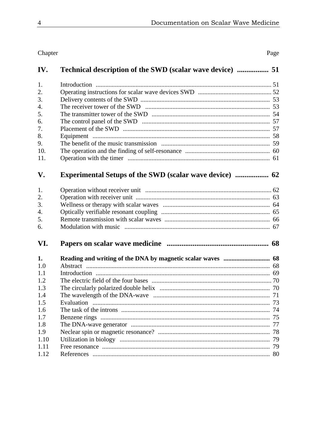| IV.  |    |
|------|----|
| 1.   |    |
| 2.   |    |
| 3.   |    |
| 4.   |    |
| 5.   |    |
| 6.   |    |
| 7.   |    |
| 8.   |    |
| 9.   |    |
| 10.  |    |
| 11.  |    |
| V.   |    |
| 1.   |    |
| 2.   |    |
| 3.   |    |
| 4.   |    |
| 5.   |    |
| 6.   |    |
| VI.  |    |
| 1.   |    |
| 1.0  |    |
| 1.1  |    |
| 1.2  |    |
| 1.3  |    |
| 1.4  |    |
| 1.5  |    |
| 1.6  |    |
| 1.7  |    |
| 1.8  |    |
| 1.9  | 78 |
| 1.10 | 79 |
| 1.11 |    |
| 1.12 |    |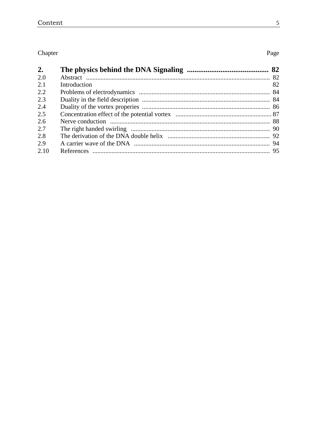#### Chapter

| 2.   |              |    |
|------|--------------|----|
| 2.0  |              |    |
| 2.1  | Introduction | 82 |
| 2.2  |              |    |
| 2.3  |              |    |
| 2.4  |              |    |
| 2.5  |              |    |
| 2.6  |              |    |
| 2.7  |              |    |
| 2.8  |              |    |
| 2.9  |              |    |
| 2.10 |              |    |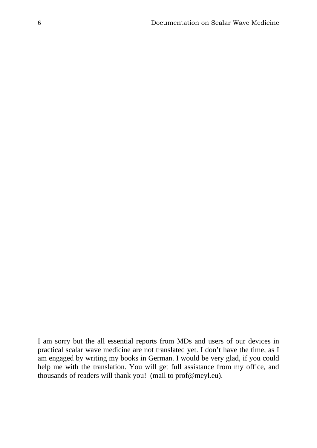I am sorry but the all essential reports from MDs and users of our devices in practical scalar wave medicine are not translated yet. I don't have the time, as I am engaged by writing my books in German. I would be very glad, if you could help me with the translation. You will get full assistance from my office, and thousands of readers will thank you! (mail to prof@meyl.eu).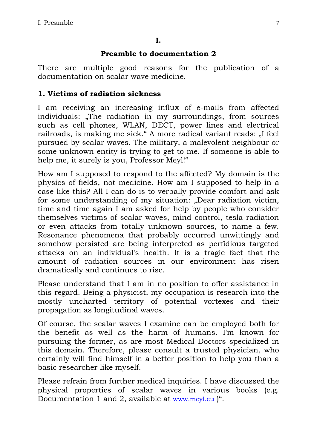#### **I.**

#### **Preamble to documentation 2**

There are multiple good reasons for the publication of a documentation on scalar wave medicine.

#### **1. Victims of radiation sickness**

I am receiving an increasing influx of e-mails from affected individuals: "The radiation in my surroundings, from sources such as cell phones, WLAN, DECT, power lines and electrical railroads, is making me sick." A more radical variant reads: "I feel pursued by scalar waves. The military, a malevolent neighbour or some unknown entity is trying to get to me. If someone is able to help me, it surely is you, Professor Meyl!"

How am I supposed to respond to the affected? My domain is the physics of fields, not medicine. How am I supposed to help in a case like this? All I can do is to verbally provide comfort and ask for some understanding of my situation: "Dear radiation victim, time and time again I am asked for help by people who consider themselves victims of scalar waves, mind control, tesla radiation or even attacks from totally unknown sources, to name a few. Resonance phenomena that probably occurred unwittingly and somehow persisted are being interpreted as perfidious targeted attacks on an individual's health. It is a tragic fact that the amount of radiation sources in our environment has risen dramatically and continues to rise.

Please understand that I am in no position to offer assistance in this regard. Being a physicist, my occupation is research into the mostly uncharted territory of potential vortexes and their propagation as longitudinal waves.

Of course, the scalar waves I examine can be employed both for the benefit as well as the harm of humans. I'm known for pursuing the former, as are most Medical Doctors specialized in this domain. Therefore, please consult a trusted physician, who certainly will find himself in a better position to help you than a basic researcher like myself.

Please refrain from further medical inquiries. I have discussed the physical properties of scalar waves in various books (e.g. Documentation 1 and 2, available at [www.meyl.eu](http://www.meyl.eu/) )".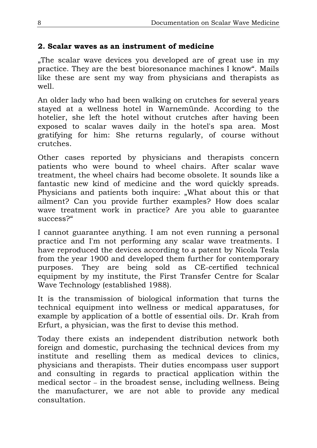#### **2. Scalar waves as an instrument of medicine**

"The scalar wave devices you developed are of great use in my practice. They are the best bioresonance machines I know". Mails like these are sent my way from physicians and therapists as well.

An older lady who had been walking on crutches for several years stayed at a wellness hotel in Warnemünde. According to the hotelier, she left the hotel without crutches after having been exposed to scalar waves daily in the hotel's spa area. Most gratifying for him: She returns regularly, of course without crutches.

Other cases reported by physicians and therapists concern patients who were bound to wheel chairs. After scalar wave treatment, the wheel chairs had become obsolete. It sounds like a fantastic new kind of medicine and the word quickly spreads. Physicians and patients both inquire: "What about this or that ailment? Can you provide further examples? How does scalar wave treatment work in practice? Are you able to guarantee success?"

I cannot guarantee anything. I am not even running a personal practice and I'm not performing any scalar wave treatments. I have reproduced the devices according to a patent by Nicola Tesla from the year 1900 and developed them further for contemporary purposes. They are being sold as CE-certified technical equipment by my institute, the First Transfer Centre for Scalar Wave Technology (established 1988).

It is the transmission of biological information that turns the technical equipment into wellness or medical apparatuses, for example by application of a bottle of essential oils. Dr. Krah from Erfurt, a physician, was the first to devise this method.

Today there exists an independent distribution network both foreign and domestic, purchasing the technical devices from my institute and reselling them as medical devices to clinics, physicians and therapists. Their duties encompass user support and consulting in regards to practical application within the medical sector – in the broadest sense, including wellness. Being the manufacturer, we are not able to provide any medical consultation.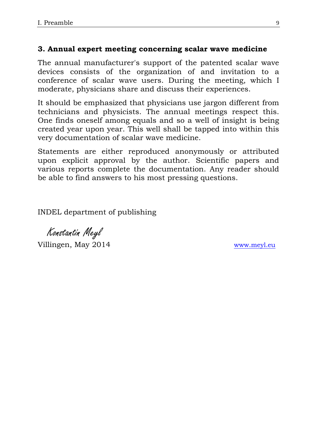#### **3. Annual expert meeting concerning scalar wave medicine**

The annual manufacturer's support of the patented scalar wave devices consists of the organization of and invitation to a conference of scalar wave users. During the meeting, which I moderate, physicians share and discuss their experiences.

It should be emphasized that physicians use jargon different from technicians and physicists. The annual meetings respect this. One finds oneself among equals and so a well of insight is being created year upon year. This well shall be tapped into within this very documentation of scalar wave medicine.

Statements are either reproduced anonymously or attributed upon explicit approval by the author. Scientific papers and various reports complete the documentation. Any reader should be able to find answers to his most pressing questions.

INDEL department of publishing

 Konstantin Meyl Villingen, May 2014 [www.meyl.eu](http://www.meyl.eu/)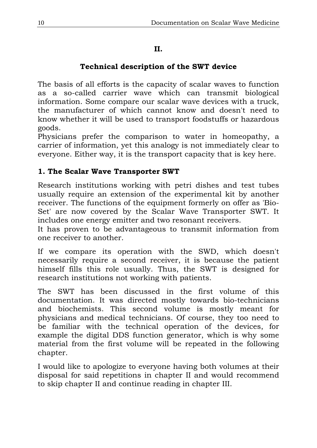#### **II.**

#### **Technical description of the SWT device**

The basis of all efforts is the capacity of scalar waves to function as a so-called carrier wave which can transmit biological information. Some compare our scalar wave devices with a truck, the manufacturer of which cannot know and doesn't need to know whether it will be used to transport foodstuffs or hazardous goods.

Physicians prefer the comparison to water in homeopathy, a carrier of information, yet this analogy is not immediately clear to everyone. Either way, it is the transport capacity that is key here.

#### **1. The Scalar Wave Transporter SWT**

Research institutions working with petri dishes and test tubes usually require an extension of the experimental kit by another receiver. The functions of the equipment formerly on offer as 'Bio-Set' are now covered by the Scalar Wave Transporter SWT. It includes one energy emitter and two resonant receivers.

It has proven to be advantageous to transmit information from one receiver to another.

If we compare its operation with the SWD, which doesn't necessarily require a second receiver, it is because the patient himself fills this role usually. Thus, the SWT is designed for research institutions not working with patients.

The SWT has been discussed in the first volume of this documentation. It was directed mostly towards bio-technicians and biochemists. This second volume is mostly meant for physicians and medical technicians. Of course, they too need to be familiar with the technical operation of the devices, for example the digital DDS function generator, which is why some material from the first volume will be repeated in the following chapter.

I would like to apologize to everyone having both volumes at their disposal for said repetitions in chapter II and would recommend to skip chapter II and continue reading in chapter III.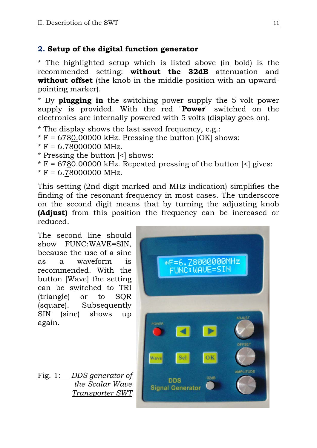#### **2. Setup of the digital function generator**

\* The highlighted setup which is listed above (in bold) is the recommended setting: **without the 32dB** attenuation and **without offset** (the knob in the middle position with an upwardpointing marker).

\* By **plugging in** the switching power supply the 5 volt power supply is provided. With the red "**Power**" switched on the electronics are internally powered with 5 volts (display goes on).

\* The display shows the last saved frequency, e.g.:

- $*$  F = 6780.00000 kHz. Pressing the button [OK] shows:
- $*$  F = 6.78000000 MHz.
- \* Pressing the button [<] shows:

 $*$  F = 6780.00000 kHz. Repeated pressing of the button  $\leq$  gives:

 $*$  F = 6.78000000 MHz.

This setting (2nd digit marked and MHz indication) simplifies the finding of the resonant frequency in most cases. The underscore on the second digit means that by turning the adjusting knob **(Adjust)** from this position the frequency can be increased or reduced.

The second line should show FUNC:WAVE=SIN, because the use of a sine as a waveform is recommended. With the button [Wave] the setting can be switched to TRI (triangle) or to SQR (square). Subsequently SIN (sine) shows up again.

Fig. 1: *DDS generator of the Scalar Wave Transporter SWT*

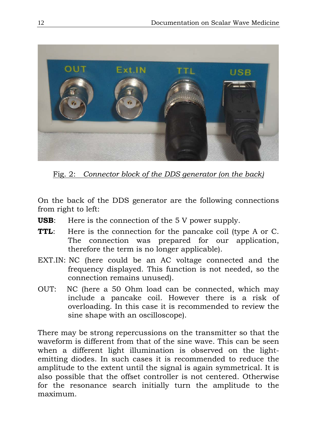

Fig. 2: *Connector block of the DDS generator (on the back)*

On the back of the DDS generator are the following connections from right to left:

- **USB**: Here is the connection of the 5 V power supply.
- **TTL:** Here is the connection for the pancake coil (type A or C. The connection was prepared for our application, therefore the term is no longer applicable).
- EXT.IN: NC (here could be an AC voltage connected and the frequency displayed. This function is not needed, so the connection remains unused).
- OUT: NC (here a 50 Ohm load can be connected, which may include a pancake coil. However there is a risk of overloading. In this case it is recommended to review the sine shape with an oscilloscope).

There may be strong repercussions on the transmitter so that the waveform is different from that of the sine wave. This can be seen when a different light illumination is observed on the lightemitting diodes. In such cases it is recommended to reduce the amplitude to the extent until the signal is again symmetrical. It is also possible that the offset controller is not centered. Otherwise for the resonance search initially turn the amplitude to the maximum.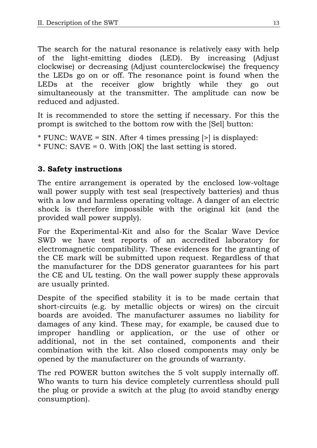The search for the natural resonance is relatively easy with help of the light-emitting diodes (LED). By increasing (Adjust clockwise) or decreasing (Adjust counterclockwise) the frequency the LEDs go on or off. The resonance point is found when the LEDs at the receiver glow brightly while they go out simultaneously at the transmitter. The amplitude can now be reduced and adjusted.

It is recommended to store the setting if necessary. For this the prompt is switched to the bottom row with the [Sel] button:

\* FUNC: WAVE = SIN. After 4 times pressing [>] is displayed: \* FUNC: SAVE = 0. With [OK] the last setting is stored.

#### **3. Safety instructions**

The entire arrangement is operated by the enclosed low-voltage wall power supply with test seal (respectively batteries) and thus with a low and harmless operating voltage. A danger of an electric shock is therefore impossible with the original kit (and the provided wall power supply).

For the Experimental-Kit and also for the Scalar Wave Device SWD we have test reports of an accredited laboratory for electromagnetic compatibility. These evidences for the granting of the CE mark will be submitted upon request. Regardless of that the manufacturer for the DDS generator guarantees for his part the CE and UL testing. On the wall power supply these approvals are usually printed.

Despite of the specified stability it is to be made certain that short-circuits (e.g. by metallic objects or wires) on the circuit boards are avoided. The manufacturer assumes no liability for damages of any kind. These may, for example, be caused due to improper handling or application, or the use of other or additional, not in the set contained, components and their combination with the kit. Also closed components may only be opened by the manufacturer on the grounds of warranty.

The red POWER button switches the 5 volt supply internally off. Who wants to turn his device completely currentless should pull the plug or provide a switch at the plug (to avoid standby energy consumption).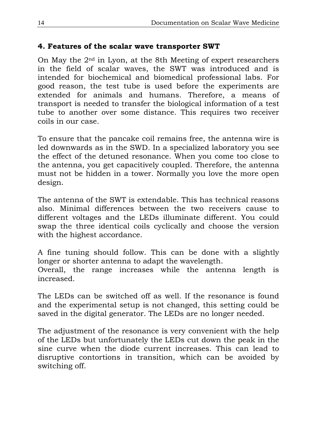#### **4. Features of the scalar wave transporter SWT**

On May the 2nd in Lyon, at the 8th Meeting of expert researchers in the field of scalar waves, the SWT was introduced and is intended for biochemical and biomedical professional labs. For good reason, the test tube is used before the experiments are extended for animals and humans. Therefore, a means of transport is needed to transfer the biological information of a test tube to another over some distance. This requires two receiver coils in our case.

To ensure that the pancake coil remains free, the antenna wire is led downwards as in the SWD. In a specialized laboratory you see the effect of the detuned resonance. When you come too close to the antenna, you get capacitively coupled. Therefore, the antenna must not be hidden in a tower. Normally you love the more open design.

The antenna of the SWT is extendable. This has technical reasons also. Minimal differences between the two receivers cause to different voltages and the LEDs illuminate different. You could swap the three identical coils cyclically and choose the version with the highest accordance.

A fine tuning should follow. This can be done with a slightly longer or shorter antenna to adapt the wavelength.

Overall, the range increases while the antenna length is increased.

The LEDs can be switched off as well. If the resonance is found and the experimental setup is not changed, this setting could be saved in the digital generator. The LEDs are no longer needed.

The adjustment of the resonance is very convenient with the help of the LEDs but unfortunately the LEDs cut down the peak in the sine curve when the diode current increases. This can lead to disruptive contortions in transition, which can be avoided by switching off.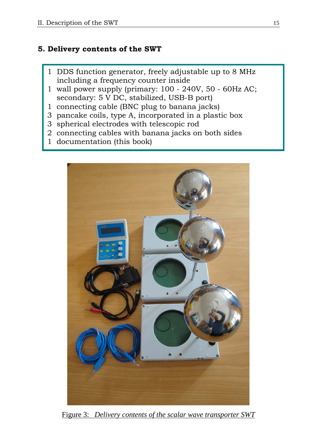#### **5. Delivery contents of the SWT**

- 1 DDS function generator, freely adjustable up to 8 MHz including a frequency counter inside
- 1 wall power supply (primary: 100 240V, 50 60Hz AC; secondary: 5 V DC, stabilized, USB-B port)
- 1 connecting cable (BNC plug to banana jacks)
- 3 pancake coils, type A, incorporated in a plastic box
- 3 spherical electrodes with telescopic rod
- 2 connecting cables with banana jacks on both sides
- 1 documentation (this book)



Figure 3: *Delivery contents of the scalar wave transporter SWT*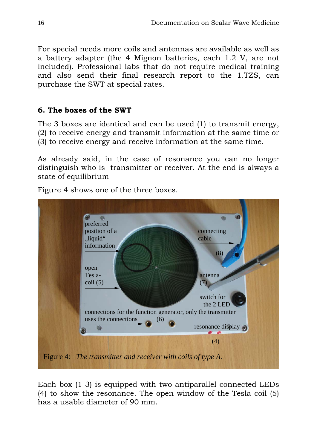For special needs more coils and antennas are available as well as a battery adapter (the 4 Mignon batteries, each 1.2 V, are not included). Professional labs that do not require medical training and also send their final research report to the 1.TZS, can purchase the SWT at special rates.

#### **6. The boxes of the SWT**

The 3 boxes are identical and can be used (1) to transmit energy, (2) to receive energy and transmit information at the same time or (3) to receive energy and receive information at the same time.

As already said, in the case of resonance you can no longer distinguish who is transmitter or receiver. At the end is always a state of equilibrium

Figure 4 shows one of the three boxes.



Each box (1-3) is equipped with two antiparallel connected LEDs (4) to show the resonance. The open window of the Tesla coil (5) has a usable diameter of 90 mm.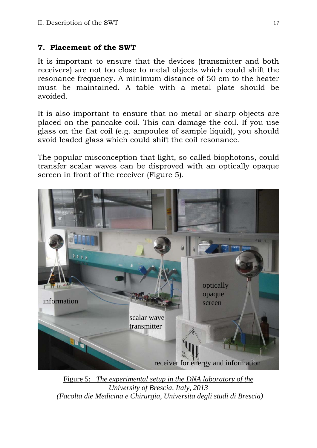#### **7. Placement of the SWT**

It is important to ensure that the devices (transmitter and both receivers) are not too close to metal objects which could shift the resonance frequency. A minimum distance of 50 cm to the heater must be maintained. A table with a metal plate should be avoided.

It is also important to ensure that no metal or sharp objects are placed on the pancake coil. This can damage the coil. If you use glass on the flat coil (e.g. ampoules of sample liquid), you should avoid leaded glass which could shift the coil resonance.

The popular misconception that light, so-called biophotons, could transfer scalar waves can be disproved with an optically opaque screen in front of the receiver (Figure 5).



Figure 5: *The experimental setup in the DNA laboratory of the University of Brescia, Italy, 2013 (Facolta die Medicina e Chirurgia, Universita degli studi di Brescia)*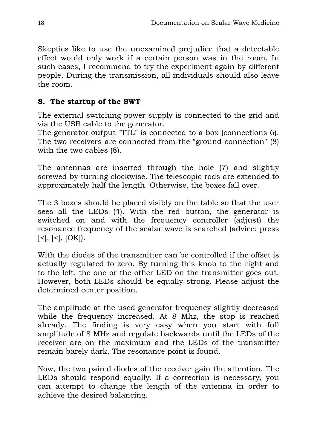Skeptics like to use the unexamined prejudice that a detectable effect would only work if a certain person was in the room. In such cases, I recommend to try the experiment again by different people. During the transmission, all individuals should also leave the room.

#### **8. The startup of the SWT**

The external switching power supply is connected to the grid and via the USB cable to the generator.

The generator output "TTL" is connected to a box (connections 6). The two receivers are connected from the "ground connection" (8) with the two cables (8).

The antennas are inserted through the hole (7) and slightly screwed by turning clockwise. The telescopic rods are extended to approximately half the length. Otherwise, the boxes fall over.

The 3 boxes should be placed visibly on the table so that the user sees all the LEDs (4). With the red button, the generator is switched on and with the frequency controller (adjust) the resonance frequency of the scalar wave is searched (advice: press  $[\leq], [\leq], [OK]$ .

With the diodes of the transmitter can be controlled if the offset is actually regulated to zero. By turning this knob to the right and to the left, the one or the other LED on the transmitter goes out. However, both LEDs should be equally strong. Please adjust the determined center position.

The amplitude at the used generator frequency slightly decreased while the frequency increased. At 8 Mhz, the stop is reached already. The finding is very easy when you start with full amplitude of 8 MHz and regulate backwards until the LEDs of the receiver are on the maximum and the LEDs of the transmitter remain barely dark. The resonance point is found.

Now, the two paired diodes of the receiver gain the attention. The LEDs should respond equally. If a correction is necessary, you can attempt to change the length of the antenna in order to achieve the desired balancing.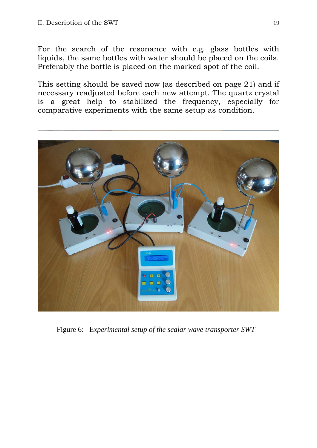For the search of the resonance with e.g. glass bottles with liquids, the same bottles with water should be placed on the coils. Preferably the bottle is placed on the marked spot of the coil.

This setting should be saved now (as described on page 21) and if necessary readjusted before each new attempt. The quartz crystal is a great help to stabilized the frequency, especially for comparative experiments with the same setup as condition.



Figure 6: E*xperimental setup of the scalar wave transporter SWT*